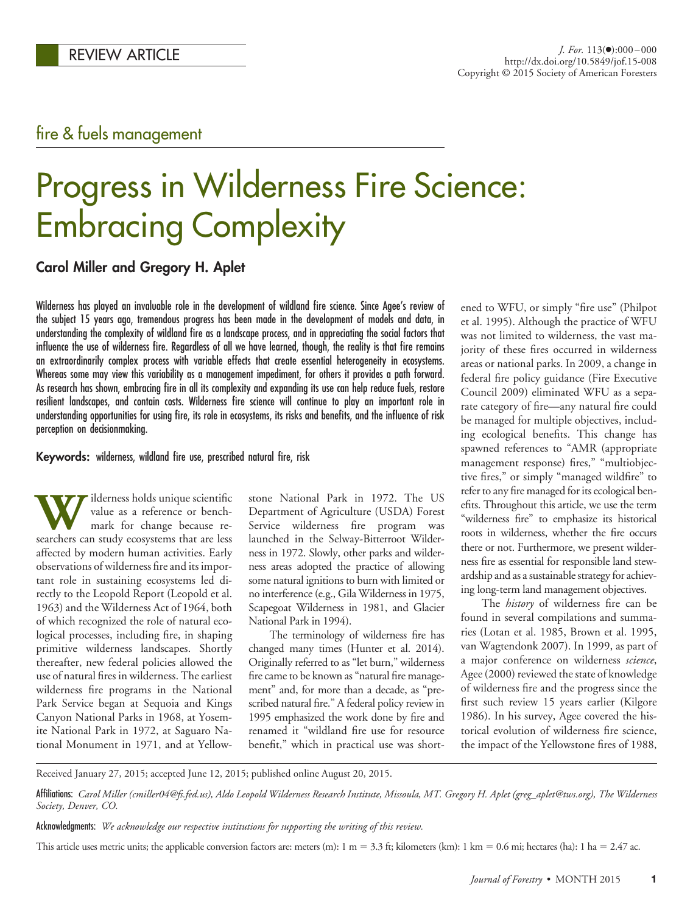# fire & fuels management

# Progress in Wilderness Fire Science: Embracing Complexity

### **Carol Miller and Gregory H. Aplet**

Wilderness has played an invaluable role in the development of wildland fire science. Since Agee's review of the subject 15 years ago, tremendous progress has been made in the development of models and data, in understanding the complexity of wildland fire as a landscape process, and in appreciating the social factors that influence the use of wilderness fire. Regardless of all we have learned, though, the reality is that fire remains an extraordinarily complex process with variable effects that create essential heterogeneity in ecosystems. Whereas some may view this variability as a management impediment, for others it provides a path forward. As research has shown, embracing fire in all its complexity and expanding its use can help reduce fuels, restore resilient landscapes, and contain costs. Wilderness fire science will continue to play an important role in understanding opportunities for using fire, its role in ecosystems, its risks and benefits, and the influence of risk perception on decisionmaking.

#### **Keywords:** wilderness, wildland fire use, prescribed natural fire, risk

Wilderness holds unique scientific<br>
value as a reference or bench-<br>
mark for change because re-<br>
searchers can study ecosystems that are less value as a reference or benchmark for change because reaffected by modern human activities. Early observations of wilderness fire and its important role in sustaining ecosystems led directly to the Leopold Report (Leopold et al. 1963) and the Wilderness Act of 1964, both of which recognized the role of natural ecological processes, including fire, in shaping primitive wilderness landscapes. Shortly thereafter, new federal policies allowed the use of natural fires in wilderness. The earliest wilderness fire programs in the National Park Service began at Sequoia and Kings Canyon National Parks in 1968, at Yosemite National Park in 1972, at Saguaro National Monument in 1971, and at Yellowstone National Park in 1972. The US Department of Agriculture (USDA) Forest Service wilderness fire program was launched in the Selway-Bitterroot Wilderness in 1972. Slowly, other parks and wilderness areas adopted the practice of allowing some natural ignitions to burn with limited or no interference (e.g., Gila Wilderness in 1975, Scapegoat Wilderness in 1981, and Glacier National Park in 1994).

The terminology of wilderness fire has changed many times (Hunter et al. 2014). Originally referred to as "let burn," wilderness fire came to be known as "natural fire management" and, for more than a decade, as "prescribed natural fire." A federal policy review in 1995 emphasized the work done by fire and renamed it "wildland fire use for resource benefit," which in practical use was short-

ened to WFU, or simply "fire use" (Philpot et al. 1995). Although the practice of WFU was not limited to wilderness, the vast majority of these fires occurred in wilderness areas or national parks. In 2009, a change in federal fire policy guidance (Fire Executive Council 2009) eliminated WFU as a separate category of fire—any natural fire could be managed for multiple objectives, including ecological benefits. This change has spawned references to "AMR (appropriate management response) fires," "multiobjective fires," or simply "managed wildfire" to refer to any fire managed for its ecological benefits. Throughout this article, we use the term "wilderness fire" to emphasize its historical roots in wilderness, whether the fire occurs there or not. Furthermore, we present wilderness fire as essential for responsible land stewardship and as a sustainable strategy for achieving long-term land management objectives.

The *history* of wilderness fire can be found in several compilations and summaries (Lotan et al. 1985, Brown et al. 1995, van Wagtendonk 2007). In 1999, as part of a major conference on wilderness *science*, Agee (2000) reviewed the state of knowledge of wilderness fire and the progress since the first such review 15 years earlier (Kilgore 1986). In his survey, Agee covered the historical evolution of wilderness fire science, the impact of the Yellowstone fires of 1988,

Received January 27, 2015; accepted June 12, 2015; published online August 20, 2015.

Affiliations: *Carol Miller (cmiller04@fs.fed.us), Aldo Leopold Wilderness Research Institute, Missoula, MT. Gregory H. Aplet (greg\_aplet@tws.org), The Wilderness Society, Denver, CO.*

Acknowledgments: *We acknowledge our respective institutions for supporting the writing of this review.*

This article uses metric units; the applicable conversion factors are: meters (m):  $1 m = 3.3$  ft; kilometers (km):  $1 km = 0.6$  mi; hectares (ha):  $1 ha = 2.47$  ac.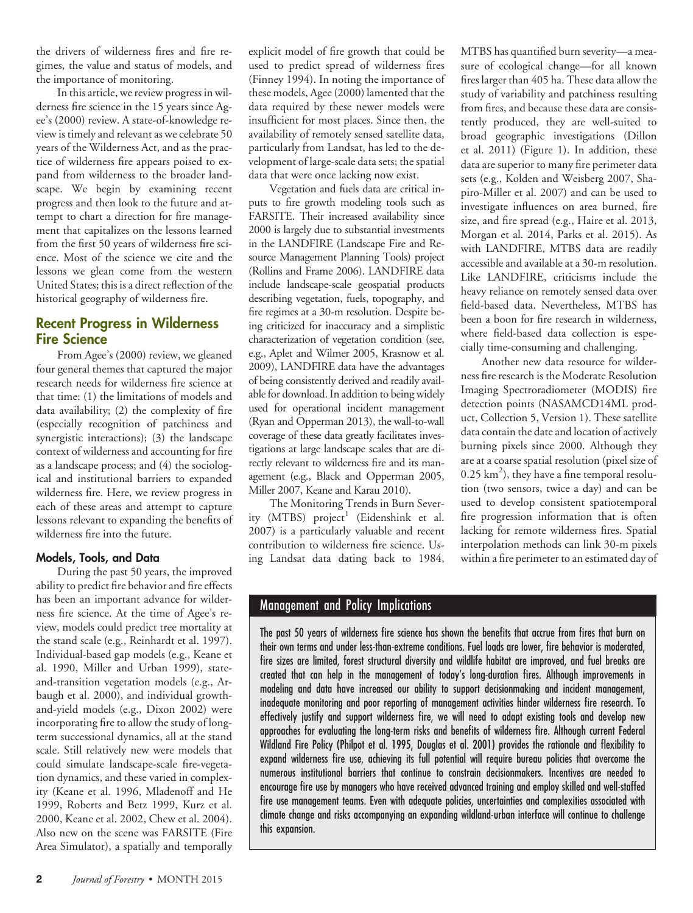the drivers of wilderness fires and fire regimes, the value and status of models, and the importance of monitoring.

In this article, we review progress in wilderness fire science in the 15 years since Agee's (2000) review. A state-of-knowledge review is timely and relevant as we celebrate 50 years of the Wilderness Act, and as the practice of wilderness fire appears poised to expand from wilderness to the broader landscape. We begin by examining recent progress and then look to the future and attempt to chart a direction for fire management that capitalizes on the lessons learned from the first 50 years of wilderness fire science. Most of the science we cite and the lessons we glean come from the western United States; this is a direct reflection of the historical geography of wilderness fire.

# **Recent Progress in Wilderness Fire Science**

From Agee's (2000) review, we gleaned four general themes that captured the major research needs for wilderness fire science at that time: (1) the limitations of models and data availability; (2) the complexity of fire (especially recognition of patchiness and synergistic interactions); (3) the landscape context of wilderness and accounting for fire as a landscape process; and (4) the sociological and institutional barriers to expanded wilderness fire. Here, we review progress in each of these areas and attempt to capture lessons relevant to expanding the benefits of wilderness fire into the future.

#### **Models, Tools, and Data**

During the past 50 years, the improved ability to predict fire behavior and fire effects has been an important advance for wilderness fire science. At the time of Agee's review, models could predict tree mortality at the stand scale (e.g., Reinhardt et al. 1997). Individual-based gap models (e.g., Keane et al. 1990, Miller and Urban 1999), stateand-transition vegetation models (e.g., Arbaugh et al. 2000), and individual growthand-yield models (e.g., Dixon 2002) were incorporating fire to allow the study of longterm successional dynamics, all at the stand scale. Still relatively new were models that could simulate landscape-scale fire-vegetation dynamics, and these varied in complexity (Keane et al. 1996, Mladenoff and He 1999, Roberts and Betz 1999, Kurz et al. 2000, Keane et al. 2002, Chew et al. 2004). Also new on the scene was FARSITE (Fire Area Simulator), a spatially and temporally

explicit model of fire growth that could be used to predict spread of wilderness fires (Finney 1994). In noting the importance of these models, Agee (2000) lamented that the data required by these newer models were insufficient for most places. Since then, the availability of remotely sensed satellite data, particularly from Landsat, has led to the development of large-scale data sets; the spatial data that were once lacking now exist.

Vegetation and fuels data are critical inputs to fire growth modeling tools such as FARSITE. Their increased availability since 2000 is largely due to substantial investments in the LANDFIRE (Landscape Fire and Resource Management Planning Tools) project (Rollins and Frame 2006). LANDFIRE data include landscape-scale geospatial products describing vegetation, fuels, topography, and fire regimes at a 30-m resolution. Despite being criticized for inaccuracy and a simplistic characterization of vegetation condition (see, e.g., Aplet and Wilmer 2005, Krasnow et al. 2009), LANDFIRE data have the advantages of being consistently derived and readily available for download. In addition to being widely used for operational incident management (Ryan and Opperman 2013), the wall-to-wall coverage of these data greatly facilitates investigations at large landscape scales that are directly relevant to wilderness fire and its management (e.g., Black and Opperman 2005, Miller 2007, Keane and Karau 2010).

The Monitoring Trends in Burn Severity (MTBS) project<sup>1</sup> (Eidenshink et al. 2007) is a particularly valuable and recent contribution to wilderness fire science. Using Landsat data dating back to 1984,

MTBS has quantified burn severity—a measure of ecological change—for all known fires larger than 405 ha. These data allow the study of variability and patchiness resulting from fires, and because these data are consistently produced, they are well-suited to broad geographic investigations (Dillon et al. 2011) (Figure 1). In addition, these data are superior to many fire perimeter data sets (e.g., Kolden and Weisberg 2007, Shapiro-Miller et al. 2007) and can be used to investigate influences on area burned, fire size, and fire spread (e.g., Haire et al. 2013, Morgan et al. 2014, Parks et al. 2015). As with LANDFIRE, MTBS data are readily accessible and available at a 30-m resolution. Like LANDFIRE, criticisms include the heavy reliance on remotely sensed data over field-based data. Nevertheless, MTBS has been a boon for fire research in wilderness, where field-based data collection is especially time-consuming and challenging.

Another new data resource for wilderness fire research is the Moderate Resolution Imaging Spectroradiometer (MODIS) fire detection points (NASAMCD14ML product, Collection 5, Version 1). These satellite data contain the date and location of actively burning pixels since 2000. Although they are at a coarse spatial resolution (pixel size of  $(0.25 \text{ km}^2)$ , they have a fine temporal resolution (two sensors, twice a day) and can be used to develop consistent spatiotemporal fire progression information that is often lacking for remote wilderness fires. Spatial interpolation methods can link 30-m pixels within a fire perimeter to an estimated day of

# Management and Policy Implications

The past 50 years of wilderness fire science has shown the benefits that accrue from fires that burn on their own terms and under less-than-extreme conditions. Fuel loads are lower, fire behavior is moderated, fire sizes are limited, forest structural diversity and wildlife habitat are improved, and fuel breaks are created that can help in the management of today's long-duration fires. Although improvements in modeling and data have increased our ability to support decisionmaking and incident management, inadequate monitoring and poor reporting of management activities hinder wilderness fire research. To effectively justify and support wilderness fire, we will need to adapt existing tools and develop new approaches for evaluating the long-term risks and benefits of wilderness fire. Although current Federal Wildland Fire Policy (Philpot et al. 1995, Douglas et al. 2001) provides the rationale and flexibility to expand wilderness fire use, achieving its full potential will require bureau policies that overcome the numerous institutional barriers that continue to constrain decisionmakers. Incentives are needed to encourage fire use by managers who have received advanced training and employ skilled and well-staffed fire use management teams. Even with adequate policies, uncertainties and complexities associated with climate change and risks accompanying an expanding wildland-urban interface will continue to challenge this expansion.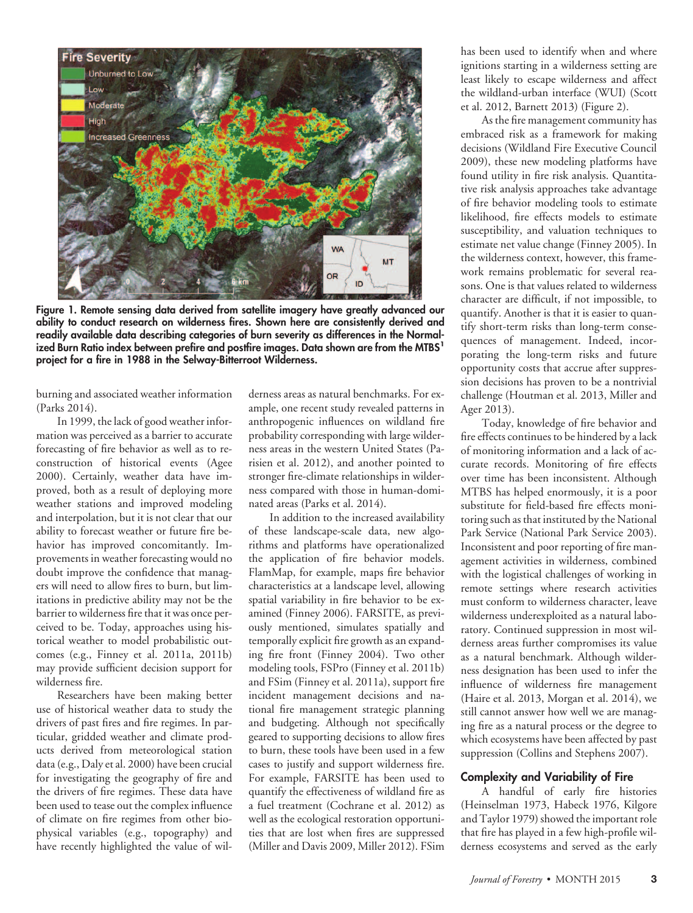

**Figure 1. Remote sensing data derived from satellite imagery have greatly advanced our ability to conduct research on wilderness fires. Shown here are consistently derived and readily available data describing categories of burn severity as differences in the Normal**ized Burn Ratio index between prefire and postfire images. Data shown are from the MTBS<sup>1</sup> **project for a fire in 1988 in the Selway-Bitterroot Wilderness.**

burning and associated weather information (Parks 2014).

In 1999, the lack of good weather information was perceived as a barrier to accurate forecasting of fire behavior as well as to reconstruction of historical events (Agee 2000). Certainly, weather data have improved, both as a result of deploying more weather stations and improved modeling and interpolation, but it is not clear that our ability to forecast weather or future fire behavior has improved concomitantly. Improvements in weather forecasting would no doubt improve the confidence that managers will need to allow fires to burn, but limitations in predictive ability may not be the barrier to wilderness fire that it was once perceived to be. Today, approaches using historical weather to model probabilistic outcomes (e.g., Finney et al. 2011a, 2011b) may provide sufficient decision support for wilderness fire.

Researchers have been making better use of historical weather data to study the drivers of past fires and fire regimes. In particular, gridded weather and climate products derived from meteorological station data (e.g., Daly et al. 2000) have been crucial for investigating the geography of fire and the drivers of fire regimes. These data have been used to tease out the complex influence of climate on fire regimes from other biophysical variables (e.g., topography) and have recently highlighted the value of wil-

derness areas as natural benchmarks. For example, one recent study revealed patterns in anthropogenic influences on wildland fire probability corresponding with large wilderness areas in the western United States (Parisien et al. 2012), and another pointed to stronger fire-climate relationships in wilderness compared with those in human-dominated areas (Parks et al. 2014).

In addition to the increased availability of these landscape-scale data, new algorithms and platforms have operationalized the application of fire behavior models. FlamMap, for example, maps fire behavior characteristics at a landscape level, allowing spatial variability in fire behavior to be examined (Finney 2006). FARSITE, as previously mentioned, simulates spatially and temporally explicit fire growth as an expanding fire front (Finney 2004). Two other modeling tools, FSPro (Finney et al. 2011b) and FSim (Finney et al. 2011a), support fire incident management decisions and national fire management strategic planning and budgeting. Although not specifically geared to supporting decisions to allow fires to burn, these tools have been used in a few cases to justify and support wilderness fire. For example, FARSITE has been used to quantify the effectiveness of wildland fire as a fuel treatment (Cochrane et al. 2012) as well as the ecological restoration opportunities that are lost when fires are suppressed (Miller and Davis 2009, Miller 2012). FSim

has been used to identify when and where ignitions starting in a wilderness setting are least likely to escape wilderness and affect the wildland-urban interface (WUI) (Scott et al. 2012, Barnett 2013) (Figure 2).

As the fire management community has embraced risk as a framework for making decisions (Wildland Fire Executive Council 2009), these new modeling platforms have found utility in fire risk analysis. Quantitative risk analysis approaches take advantage of fire behavior modeling tools to estimate likelihood, fire effects models to estimate susceptibility, and valuation techniques to estimate net value change (Finney 2005). In the wilderness context, however, this framework remains problematic for several reasons. One is that values related to wilderness character are difficult, if not impossible, to quantify. Another is that it is easier to quantify short-term risks than long-term consequences of management. Indeed, incorporating the long-term risks and future opportunity costs that accrue after suppression decisions has proven to be a nontrivial challenge (Houtman et al. 2013, Miller and Ager 2013).

Today, knowledge of fire behavior and fire effects continues to be hindered by a lack of monitoring information and a lack of accurate records. Monitoring of fire effects over time has been inconsistent. Although MTBS has helped enormously, it is a poor substitute for field-based fire effects monitoring such as that instituted by the National Park Service (National Park Service 2003). Inconsistent and poor reporting of fire management activities in wilderness, combined with the logistical challenges of working in remote settings where research activities must conform to wilderness character, leave wilderness underexploited as a natural laboratory. Continued suppression in most wilderness areas further compromises its value as a natural benchmark. Although wilderness designation has been used to infer the influence of wilderness fire management (Haire et al. 2013, Morgan et al. 2014), we still cannot answer how well we are managing fire as a natural process or the degree to which ecosystems have been affected by past suppression (Collins and Stephens 2007).

#### **Complexity and Variability of Fire**

A handful of early fire histories (Heinselman 1973, Habeck 1976, Kilgore and Taylor 1979) showed the important role that fire has played in a few high-profile wilderness ecosystems and served as the early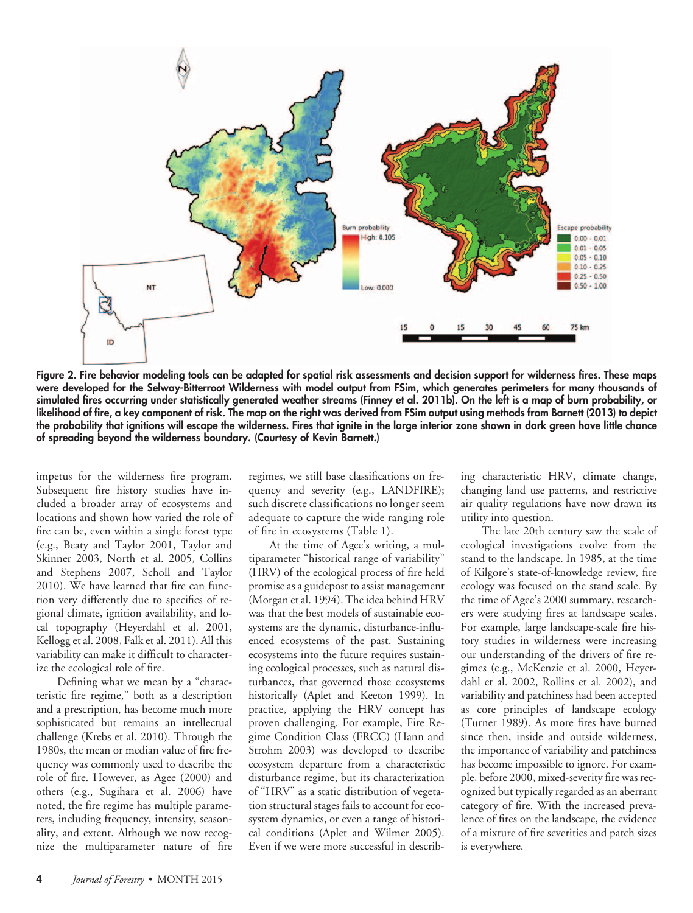

**Figure 2. Fire behavior modeling tools can be adapted for spatial risk assessments and decision support for wilderness fires. These maps were developed for the Selway-Bitterroot Wilderness with model output from FSim, which generates perimeters for many thousands of simulated fires occurring under statistically generated weather streams (Finney et al. 2011b). On the left is a map of burn probability, or likelihood of fire, a key component of risk. The map on the right was derived from FSim output using methods from Barnett (2013) to depict the probability that ignitions will escape the wilderness. Fires that ignite in the large interior zone shown in dark green have little chance of spreading beyond the wilderness boundary. (Courtesy of Kevin Barnett.)**

impetus for the wilderness fire program. Subsequent fire history studies have included a broader array of ecosystems and locations and shown how varied the role of fire can be, even within a single forest type (e.g., Beaty and Taylor 2001, Taylor and Skinner 2003, North et al. 2005, Collins and Stephens 2007, Scholl and Taylor 2010). We have learned that fire can function very differently due to specifics of regional climate, ignition availability, and local topography (Heyerdahl et al. 2001, Kellogg et al. 2008, Falk et al. 2011). All this variability can make it difficult to characterize the ecological role of fire.

Defining what we mean by a "characteristic fire regime," both as a description and a prescription, has become much more sophisticated but remains an intellectual challenge (Krebs et al. 2010). Through the 1980s, the mean or median value of fire frequency was commonly used to describe the role of fire. However, as Agee (2000) and others (e.g., Sugihara et al. 2006) have noted, the fire regime has multiple parameters, including frequency, intensity, seasonality, and extent. Although we now recognize the multiparameter nature of fire

regimes, we still base classifications on frequency and severity (e.g., LANDFIRE); such discrete classifications no longer seem adequate to capture the wide ranging role of fire in ecosystems (Table 1).

At the time of Agee's writing, a multiparameter "historical range of variability" (HRV) of the ecological process of fire held promise as a guidepost to assist management (Morgan et al. 1994). The idea behind HRV was that the best models of sustainable ecosystems are the dynamic, disturbance-influenced ecosystems of the past. Sustaining ecosystems into the future requires sustaining ecological processes, such as natural disturbances, that governed those ecosystems historically (Aplet and Keeton 1999). In practice, applying the HRV concept has proven challenging. For example, Fire Regime Condition Class (FRCC) (Hann and Strohm 2003) was developed to describe ecosystem departure from a characteristic disturbance regime, but its characterization of "HRV" as a static distribution of vegetation structural stages fails to account for ecosystem dynamics, or even a range of historical conditions (Aplet and Wilmer 2005). Even if we were more successful in describing characteristic HRV, climate change, changing land use patterns, and restrictive air quality regulations have now drawn its utility into question.

The late 20th century saw the scale of ecological investigations evolve from the stand to the landscape. In 1985, at the time of Kilgore's state-of-knowledge review, fire ecology was focused on the stand scale. By the time of Agee's 2000 summary, researchers were studying fires at landscape scales. For example, large landscape-scale fire history studies in wilderness were increasing our understanding of the drivers of fire regimes (e.g., McKenzie et al. 2000, Heyerdahl et al. 2002, Rollins et al. 2002), and variability and patchiness had been accepted as core principles of landscape ecology (Turner 1989). As more fires have burned since then, inside and outside wilderness, the importance of variability and patchiness has become impossible to ignore. For example, before 2000, mixed-severity fire was recognized but typically regarded as an aberrant category of fire. With the increased prevalence of fires on the landscape, the evidence of a mixture of fire severities and patch sizes is everywhere.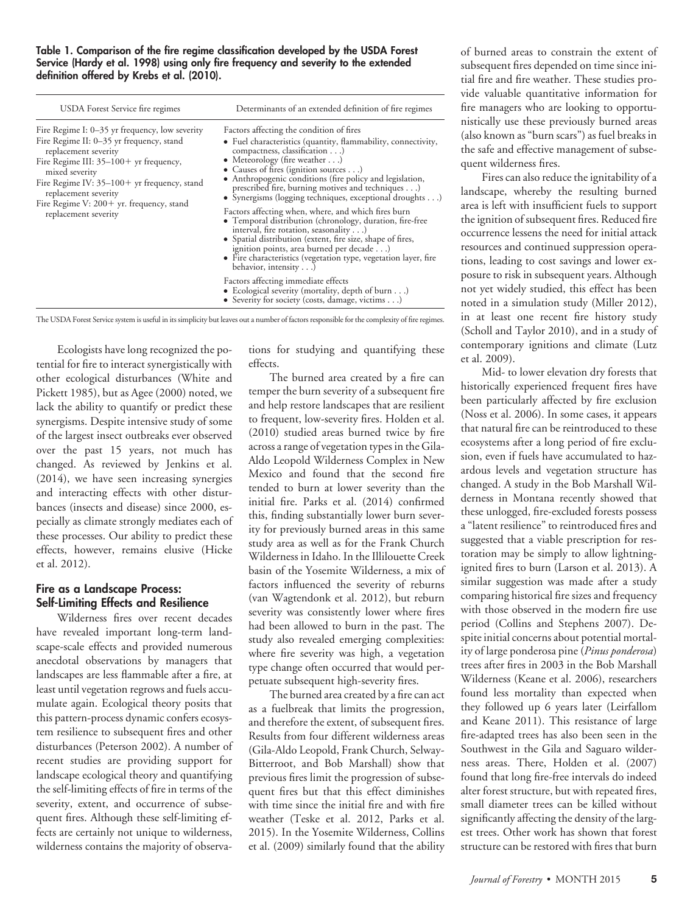**Table 1. Comparison of the fire regime classification developed by the USDA Forest Service (Hardy et al. 1998) using only fire frequency and severity to the extended definition offered by Krebs et al. (2010).**

| USDA Forest Service fire regimes                                                                                                                                                                                                                                                                                                  | Determinants of an extended definition of fire regimes                                                                                                                                                                                                                                                                                                                                                                                                                                                                                                                                                                                                                                                                                                                                                                                                             |
|-----------------------------------------------------------------------------------------------------------------------------------------------------------------------------------------------------------------------------------------------------------------------------------------------------------------------------------|--------------------------------------------------------------------------------------------------------------------------------------------------------------------------------------------------------------------------------------------------------------------------------------------------------------------------------------------------------------------------------------------------------------------------------------------------------------------------------------------------------------------------------------------------------------------------------------------------------------------------------------------------------------------------------------------------------------------------------------------------------------------------------------------------------------------------------------------------------------------|
| Fire Regime I: 0–35 yr frequency, low severity<br>Fire Regime II: 0-35 yr frequency, stand<br>replacement severity<br>Fire Regime III: $35-100+$ yr frequency,<br>mixed severity<br>Fire Regime IV: $35-100+$ yr frequency, stand<br>replacement severity<br>Fire Regime V: $200 + yr$ . frequency, stand<br>replacement severity | Factors affecting the condition of fires<br>• Fuel characteristics (quantity, flammability, connectivity,<br>compactness, classification)<br>• Meteorology (fire weather $\ldots$ )<br>• Causes of fires (ignition sources)<br>• Anthropogenic conditions (fire policy and legislation,<br>prescribed fire, burning motives and techniques)<br>• Synergisms (logging techniques, exceptional droughts)<br>Factors affecting when, where, and which fires burn<br>• Temporal distribution (chronology, duration, fire-free<br>interval, fire rotation, seasonality)<br>· Spatial distribution (extent, fire size, shape of fires,<br>ignition points, area burned per decade)<br>• Fire characteristics (vegetation type, vegetation layer, fire<br>behavior, intensity)<br>Factors affecting immediate effects<br>• Ecological severity (mortality, depth of burn) |
|                                                                                                                                                                                                                                                                                                                                   | • Severity for society (costs, damage, victims)                                                                                                                                                                                                                                                                                                                                                                                                                                                                                                                                                                                                                                                                                                                                                                                                                    |

The USDA Forest Service system is useful in its simplicity but leaves out a number of factors responsible for the complexity of fire regimes.

Ecologists have long recognized the potential for fire to interact synergistically with other ecological disturbances (White and Pickett 1985), but as Agee (2000) noted, we lack the ability to quantify or predict these synergisms. Despite intensive study of some of the largest insect outbreaks ever observed over the past 15 years, not much has changed. As reviewed by Jenkins et al. (2014), we have seen increasing synergies and interacting effects with other disturbances (insects and disease) since 2000, especially as climate strongly mediates each of these processes. Our ability to predict these effects, however, remains elusive (Hicke et al. 2012).

#### **Fire as a Landscape Process: Self-Limiting Effects and Resilience**

Wilderness fires over recent decades have revealed important long-term landscape-scale effects and provided numerous anecdotal observations by managers that landscapes are less flammable after a fire, at least until vegetation regrows and fuels accumulate again. Ecological theory posits that this pattern-process dynamic confers ecosystem resilience to subsequent fires and other disturbances (Peterson 2002). A number of recent studies are providing support for landscape ecological theory and quantifying the self-limiting effects of fire in terms of the severity, extent, and occurrence of subsequent fires. Although these self-limiting effects are certainly not unique to wilderness, wilderness contains the majority of observa-

tions for studying and quantifying these effects.

The burned area created by a fire can temper the burn severity of a subsequent fire and help restore landscapes that are resilient to frequent, low-severity fires. Holden et al. (2010) studied areas burned twice by fire across a range of vegetation types in the Gila-Aldo Leopold Wilderness Complex in New Mexico and found that the second fire tended to burn at lower severity than the initial fire. Parks et al. (2014) confirmed this, finding substantially lower burn severity for previously burned areas in this same study area as well as for the Frank Church Wilderness in Idaho. In the Illilouette Creek basin of the Yosemite Wilderness, a mix of factors influenced the severity of reburns (van Wagtendonk et al. 2012), but reburn severity was consistently lower where fires had been allowed to burn in the past. The study also revealed emerging complexities: where fire severity was high, a vegetation type change often occurred that would perpetuate subsequent high-severity fires.

The burned area created by a fire can act as a fuelbreak that limits the progression, and therefore the extent, of subsequent fires. Results from four different wilderness areas (Gila-Aldo Leopold, Frank Church, Selway-Bitterroot, and Bob Marshall) show that previous fires limit the progression of subsequent fires but that this effect diminishes with time since the initial fire and with fire weather (Teske et al. 2012, Parks et al. 2015). In the Yosemite Wilderness, Collins et al. (2009) similarly found that the ability

of burned areas to constrain the extent of subsequent fires depended on time since initial fire and fire weather. These studies provide valuable quantitative information for fire managers who are looking to opportunistically use these previously burned areas (also known as "burn scars") as fuel breaks in the safe and effective management of subsequent wilderness fires.

Fires can also reduce the ignitability of a landscape, whereby the resulting burned area is left with insufficient fuels to support the ignition of subsequent fires. Reduced fire occurrence lessens the need for initial attack resources and continued suppression operations, leading to cost savings and lower exposure to risk in subsequent years. Although not yet widely studied, this effect has been noted in a simulation study (Miller 2012), in at least one recent fire history study (Scholl and Taylor 2010), and in a study of contemporary ignitions and climate (Lutz et al. 2009).

Mid- to lower elevation dry forests that historically experienced frequent fires have been particularly affected by fire exclusion (Noss et al. 2006). In some cases, it appears that natural fire can be reintroduced to these ecosystems after a long period of fire exclusion, even if fuels have accumulated to hazardous levels and vegetation structure has changed. A study in the Bob Marshall Wilderness in Montana recently showed that these unlogged, fire-excluded forests possess a "latent resilience" to reintroduced fires and suggested that a viable prescription for restoration may be simply to allow lightningignited fires to burn (Larson et al. 2013). A similar suggestion was made after a study comparing historical fire sizes and frequency with those observed in the modern fire use period (Collins and Stephens 2007). Despite initial concerns about potential mortality of large ponderosa pine (*Pinus ponderosa*) trees after fires in 2003 in the Bob Marshall Wilderness (Keane et al. 2006), researchers found less mortality than expected when they followed up 6 years later (Leirfallom and Keane 2011). This resistance of large fire-adapted trees has also been seen in the Southwest in the Gila and Saguaro wilderness areas. There, Holden et al. (2007) found that long fire-free intervals do indeed alter forest structure, but with repeated fires, small diameter trees can be killed without significantly affecting the density of the largest trees. Other work has shown that forest structure can be restored with fires that burn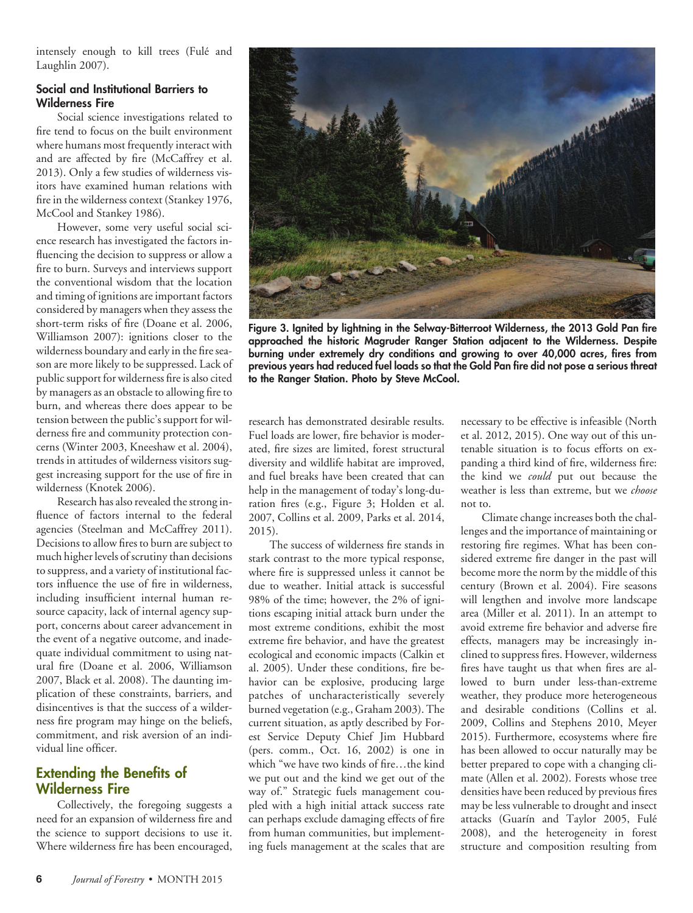intensely enough to kill trees (Fulé and Laughlin 2007).

#### **Social and Institutional Barriers to Wilderness Fire**

Social science investigations related to fire tend to focus on the built environment where humans most frequently interact with and are affected by fire (McCaffrey et al. 2013). Only a few studies of wilderness visitors have examined human relations with fire in the wilderness context (Stankey 1976, McCool and Stankey 1986).

However, some very useful social science research has investigated the factors influencing the decision to suppress or allow a fire to burn. Surveys and interviews support the conventional wisdom that the location and timing of ignitions are important factors considered by managers when they assess the short-term risks of fire (Doane et al. 2006, Williamson 2007): ignitions closer to the wilderness boundary and early in the fire season are more likely to be suppressed. Lack of public support for wilderness fire is also cited by managers as an obstacle to allowing fire to burn, and whereas there does appear to be tension between the public's support for wilderness fire and community protection concerns (Winter 2003, Kneeshaw et al. 2004), trends in attitudes of wilderness visitors suggest increasing support for the use of fire in wilderness (Knotek 2006).

Research has also revealed the strong influence of factors internal to the federal agencies (Steelman and McCaffrey 2011). Decisions to allow fires to burn are subject to much higher levels of scrutiny than decisions to suppress, and a variety of institutional factors influence the use of fire in wilderness, including insufficient internal human resource capacity, lack of internal agency support, concerns about career advancement in the event of a negative outcome, and inadequate individual commitment to using natural fire (Doane et al. 2006, Williamson 2007, Black et al. 2008). The daunting implication of these constraints, barriers, and disincentives is that the success of a wilderness fire program may hinge on the beliefs, commitment, and risk aversion of an individual line officer.

## **Extending the Benefits of Wilderness Fire**

Collectively, the foregoing suggests a need for an expansion of wilderness fire and the science to support decisions to use it. Where wilderness fire has been encouraged,



**Figure 3. Ignited by lightning in the Selway-Bitterroot Wilderness, the 2013 Gold Pan fire approached the historic Magruder Ranger Station adjacent to the Wilderness. Despite burning under extremely dry conditions and growing to over 40,000 acres, fires from previous years had reduced fuel loads so that the Gold Pan fire did not pose a serious threat to the Ranger Station. Photo by Steve McCool.**

research has demonstrated desirable results. Fuel loads are lower, fire behavior is moderated, fire sizes are limited, forest structural diversity and wildlife habitat are improved, and fuel breaks have been created that can help in the management of today's long-duration fires (e.g., Figure 3; Holden et al. 2007, Collins et al. 2009, Parks et al. 2014, 2015).

The success of wilderness fire stands in stark contrast to the more typical response, where fire is suppressed unless it cannot be due to weather. Initial attack is successful 98% of the time; however, the 2% of ignitions escaping initial attack burn under the most extreme conditions, exhibit the most extreme fire behavior, and have the greatest ecological and economic impacts (Calkin et al. 2005). Under these conditions, fire behavior can be explosive, producing large patches of uncharacteristically severely burned vegetation (e.g., Graham 2003). The current situation, as aptly described by Forest Service Deputy Chief Jim Hubbard (pers. comm., Oct. 16, 2002) is one in which "we have two kinds of fire…the kind we put out and the kind we get out of the way of." Strategic fuels management coupled with a high initial attack success rate can perhaps exclude damaging effects of fire from human communities, but implementing fuels management at the scales that are

necessary to be effective is infeasible (North et al. 2012, 2015). One way out of this untenable situation is to focus efforts on expanding a third kind of fire, wilderness fire: the kind we *could* put out because the weather is less than extreme, but we *choose* not to.

Climate change increases both the challenges and the importance of maintaining or restoring fire regimes. What has been considered extreme fire danger in the past will become more the norm by the middle of this century (Brown et al. 2004). Fire seasons will lengthen and involve more landscape area (Miller et al. 2011). In an attempt to avoid extreme fire behavior and adverse fire effects, managers may be increasingly inclined to suppress fires. However, wilderness fires have taught us that when fires are allowed to burn under less-than-extreme weather, they produce more heterogeneous and desirable conditions (Collins et al. 2009, Collins and Stephens 2010, Meyer 2015). Furthermore, ecosystems where fire has been allowed to occur naturally may be better prepared to cope with a changing climate (Allen et al. 2002). Forests whose tree densities have been reduced by previous fires may be less vulnerable to drought and insect attacks (Guarín and Taylor 2005, Fulé 2008), and the heterogeneity in forest structure and composition resulting from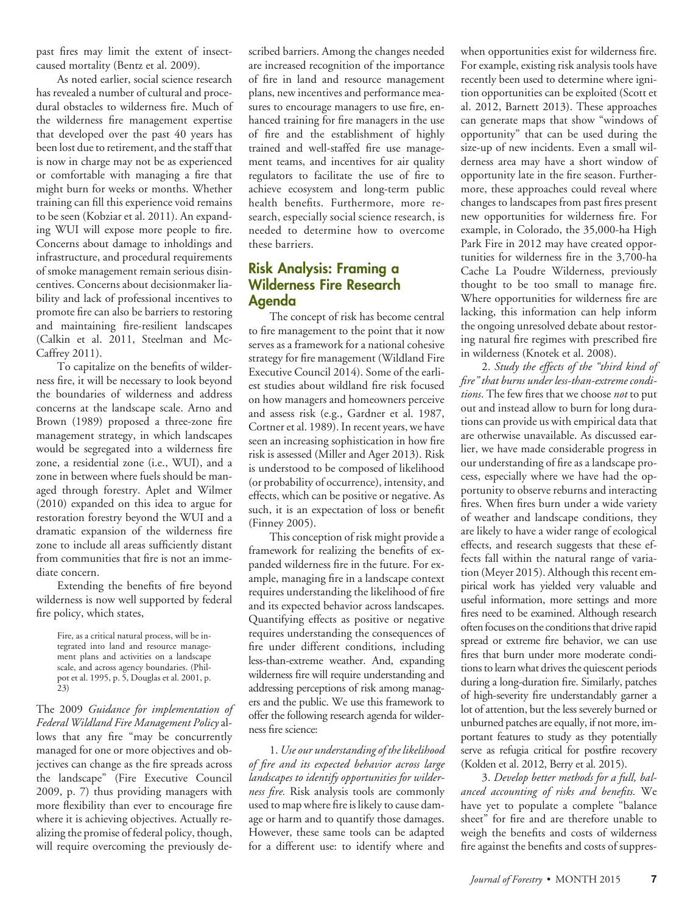past fires may limit the extent of insectcaused mortality (Bentz et al. 2009).

As noted earlier, social science research has revealed a number of cultural and procedural obstacles to wilderness fire. Much of the wilderness fire management expertise that developed over the past 40 years has been lost due to retirement, and the staff that is now in charge may not be as experienced or comfortable with managing a fire that might burn for weeks or months. Whether training can fill this experience void remains to be seen (Kobziar et al. 2011). An expanding WUI will expose more people to fire. Concerns about damage to inholdings and infrastructure, and procedural requirements of smoke management remain serious disincentives. Concerns about decisionmaker liability and lack of professional incentives to promote fire can also be barriers to restoring and maintaining fire-resilient landscapes (Calkin et al. 2011, Steelman and Mc-Caffrey 2011).

To capitalize on the benefits of wilderness fire, it will be necessary to look beyond the boundaries of wilderness and address concerns at the landscape scale. Arno and Brown (1989) proposed a three-zone fire management strategy, in which landscapes would be segregated into a wilderness fire zone, a residential zone (i.e., WUI), and a zone in between where fuels should be managed through forestry. Aplet and Wilmer (2010) expanded on this idea to argue for restoration forestry beyond the WUI and a dramatic expansion of the wilderness fire zone to include all areas sufficiently distant from communities that fire is not an immediate concern.

Extending the benefits of fire beyond wilderness is now well supported by federal fire policy, which states,

> Fire, as a critical natural process, will be integrated into land and resource management plans and activities on a landscape scale, and across agency boundaries. (Philpot et al. 1995, p. 5, Douglas et al. 2001, p.  $23)$

The 2009 *Guidance for implementation of Federal Wildland Fire Management Policy* allows that any fire "may be concurrently managed for one or more objectives and objectives can change as the fire spreads across the landscape" (Fire Executive Council 2009, p. 7) thus providing managers with more flexibility than ever to encourage fire where it is achieving objectives. Actually realizing the promise of federal policy, though, will require overcoming the previously de-

scribed barriers. Among the changes needed are increased recognition of the importance of fire in land and resource management plans, new incentives and performance measures to encourage managers to use fire, enhanced training for fire managers in the use of fire and the establishment of highly trained and well-staffed fire use management teams, and incentives for air quality regulators to facilitate the use of fire to achieve ecosystem and long-term public health benefits. Furthermore, more research, especially social science research, is needed to determine how to overcome these barriers.

## **Risk Analysis: Framing a Wilderness Fire Research Agenda**

The concept of risk has become central to fire management to the point that it now serves as a framework for a national cohesive strategy for fire management (Wildland Fire Executive Council 2014). Some of the earliest studies about wildland fire risk focused on how managers and homeowners perceive and assess risk (e.g., Gardner et al. 1987, Cortner et al. 1989). In recent years, we have seen an increasing sophistication in how fire risk is assessed (Miller and Ager 2013). Risk is understood to be composed of likelihood (or probability of occurrence), intensity, and effects, which can be positive or negative. As such, it is an expectation of loss or benefit (Finney 2005).

This conception of risk might provide a framework for realizing the benefits of expanded wilderness fire in the future. For example, managing fire in a landscape context requires understanding the likelihood of fire and its expected behavior across landscapes. Quantifying effects as positive or negative requires understanding the consequences of fire under different conditions, including less-than-extreme weather. And, expanding wilderness fire will require understanding and addressing perceptions of risk among managers and the public. We use this framework to offer the following research agenda for wilderness fire science:

1. *Use our understanding of the likelihood of fire and its expected behavior across large landscapes to identify opportunities for wilderness fire.* Risk analysis tools are commonly used to map where fire is likely to cause damage or harm and to quantify those damages. However, these same tools can be adapted for a different use: to identify where and

when opportunities exist for wilderness fire. For example, existing risk analysis tools have recently been used to determine where ignition opportunities can be exploited (Scott et al. 2012, Barnett 2013). These approaches can generate maps that show "windows of opportunity" that can be used during the size-up of new incidents. Even a small wilderness area may have a short window of opportunity late in the fire season. Furthermore, these approaches could reveal where changes to landscapes from past fires present new opportunities for wilderness fire. For example, in Colorado, the 35,000-ha High Park Fire in 2012 may have created opportunities for wilderness fire in the 3,700-ha Cache La Poudre Wilderness, previously thought to be too small to manage fire. Where opportunities for wilderness fire are lacking, this information can help inform the ongoing unresolved debate about restoring natural fire regimes with prescribed fire in wilderness (Knotek et al. 2008).

2. *Study the effects of the "third kind of fire" that burns under less-than-extreme conditions*. The few fires that we choose *not* to put out and instead allow to burn for long durations can provide us with empirical data that are otherwise unavailable. As discussed earlier, we have made considerable progress in our understanding of fire as a landscape process, especially where we have had the opportunity to observe reburns and interacting fires. When fires burn under a wide variety of weather and landscape conditions, they are likely to have a wider range of ecological effects, and research suggests that these effects fall within the natural range of variation (Meyer 2015). Although this recent empirical work has yielded very valuable and useful information, more settings and more fires need to be examined. Although research often focuses on the conditions that drive rapid spread or extreme fire behavior, we can use fires that burn under more moderate conditions to learn what drives the quiescent periods during a long-duration fire. Similarly, patches of high-severity fire understandably garner a lot of attention, but the less severely burned or unburned patches are equally, if not more, important features to study as they potentially serve as refugia critical for postfire recovery (Kolden et al. 2012, Berry et al. 2015).

3. *Develop better methods for a full, balanced accounting of risks and benefits.* We have yet to populate a complete "balance sheet" for fire and are therefore unable to weigh the benefits and costs of wilderness fire against the benefits and costs of suppres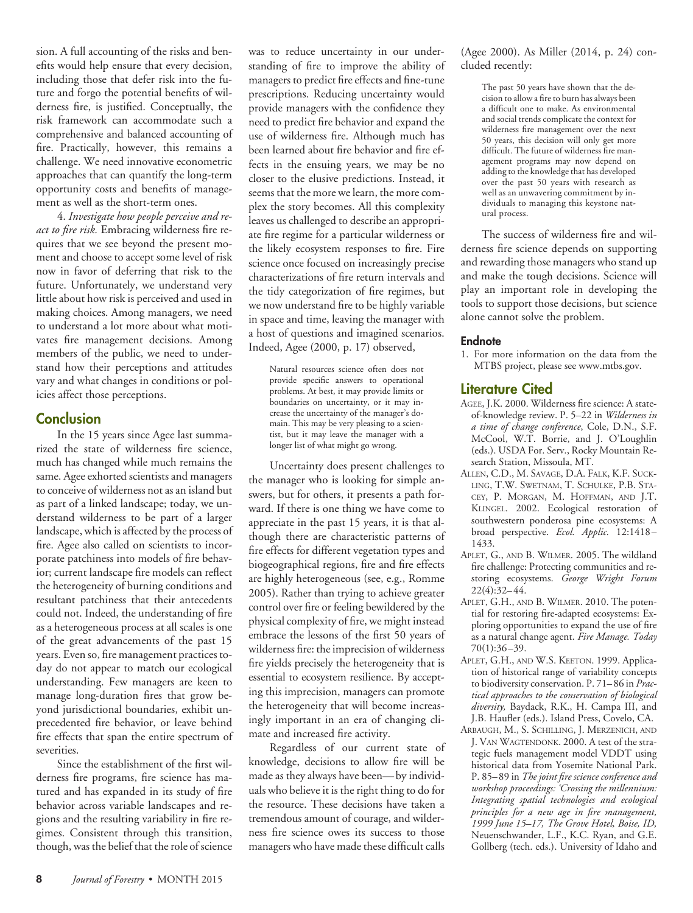sion. A full accounting of the risks and benefits would help ensure that every decision, including those that defer risk into the future and forgo the potential benefits of wilderness fire, is justified. Conceptually, the risk framework can accommodate such a comprehensive and balanced accounting of fire. Practically, however, this remains a challenge. We need innovative econometric approaches that can quantify the long-term opportunity costs and benefits of management as well as the short-term ones.

4. *Investigate how people perceive and react to fire risk.* Embracing wilderness fire requires that we see beyond the present moment and choose to accept some level of risk now in favor of deferring that risk to the future. Unfortunately, we understand very little about how risk is perceived and used in making choices. Among managers, we need to understand a lot more about what motivates fire management decisions. Among members of the public, we need to understand how their perceptions and attitudes vary and what changes in conditions or policies affect those perceptions.

#### **Conclusion**

In the 15 years since Agee last summarized the state of wilderness fire science, much has changed while much remains the same. Agee exhorted scientists and managers to conceive of wilderness not as an island but as part of a linked landscape; today, we understand wilderness to be part of a larger landscape, which is affected by the process of fire. Agee also called on scientists to incorporate patchiness into models of fire behavior; current landscape fire models can reflect the heterogeneity of burning conditions and resultant patchiness that their antecedents could not. Indeed, the understanding of fire as a heterogeneous process at all scales is one of the great advancements of the past 15 years. Even so, fire management practices today do not appear to match our ecological understanding. Few managers are keen to manage long-duration fires that grow beyond jurisdictional boundaries, exhibit unprecedented fire behavior, or leave behind fire effects that span the entire spectrum of severities.

Since the establishment of the first wilderness fire programs, fire science has matured and has expanded in its study of fire behavior across variable landscapes and regions and the resulting variability in fire regimes. Consistent through this transition, though, was the belief that the role of science

was to reduce uncertainty in our understanding of fire to improve the ability of managers to predict fire effects and fine-tune prescriptions. Reducing uncertainty would provide managers with the confidence they need to predict fire behavior and expand the use of wilderness fire. Although much has been learned about fire behavior and fire effects in the ensuing years, we may be no closer to the elusive predictions. Instead, it seems that the more we learn, the more complex the story becomes. All this complexity leaves us challenged to describe an appropriate fire regime for a particular wilderness or the likely ecosystem responses to fire. Fire science once focused on increasingly precise characterizations of fire return intervals and the tidy categorization of fire regimes, but we now understand fire to be highly variable in space and time, leaving the manager with a host of questions and imagined scenarios. Indeed, Agee (2000, p. 17) observed,

> Natural resources science often does not provide specific answers to operational problems. At best, it may provide limits or boundaries on uncertainty, or it may increase the uncertainty of the manager's domain. This may be very pleasing to a scientist, but it may leave the manager with a longer list of what might go wrong.

Uncertainty does present challenges to the manager who is looking for simple answers, but for others, it presents a path forward. If there is one thing we have come to appreciate in the past 15 years, it is that although there are characteristic patterns of fire effects for different vegetation types and biogeographical regions, fire and fire effects are highly heterogeneous (see, e.g., Romme 2005). Rather than trying to achieve greater control over fire or feeling bewildered by the physical complexity of fire, we might instead embrace the lessons of the first 50 years of wilderness fire: the imprecision of wilderness fire yields precisely the heterogeneity that is essential to ecosystem resilience. By accepting this imprecision, managers can promote the heterogeneity that will become increasingly important in an era of changing climate and increased fire activity.

Regardless of our current state of knowledge, decisions to allow fire will be made as they always have been— by individuals who believe it is the right thing to do for the resource. These decisions have taken a tremendous amount of courage, and wilderness fire science owes its success to those managers who have made these difficult calls

(Agee 2000). As Miller (2014, p. 24) concluded recently:

> The past 50 years have shown that the decision to allow a fire to burn has always been a difficult one to make. As environmental and social trends complicate the context for wilderness fire management over the next 50 years, this decision will only get more difficult. The future of wilderness fire management programs may now depend on adding to the knowledge that has developed over the past 50 years with research as well as an unwavering commitment by individuals to managing this keystone natural process.

The success of wilderness fire and wilderness fire science depends on supporting and rewarding those managers who stand up and make the tough decisions. Science will play an important role in developing the tools to support those decisions, but science alone cannot solve the problem.

#### **Endnote**

1. For more information on the data from the MTBS project, please see [www.mtbs.gov.](http://www.mtbs.gov)

#### **Literature Cited**

- AGEE, J.K. 2000. Wilderness fire science: A stateof-knowledge review. P. 5–22 in *Wilderness in a time of change conference*, Cole, D.N., S.F. McCool, W.T. Borrie, and J. O'Loughlin (eds.). USDA For. Serv., Rocky Mountain Research Station, Missoula, MT.
- ALLEN, C.D., M. SAVAGE, D.A. FALK, K.F. SUCK-LING, T.W. SWETNAM, T. SCHULKE, P.B. STA-CEY, P. MORGAN, M. HOFFMAN, AND J.T. KLINGEL. 2002. Ecological restoration of southwestern ponderosa pine ecosystems: A broad perspective. *Ecol. Applic.* 12:1418 – 1433.
- APLET, G., AND B. WILMER. 2005. The wildland fire challenge: Protecting communities and restoring ecosystems. *George Wright Forum*  $22(4):32-44.$
- APLET, G.H., AND B. WILMER. 2010. The potential for restoring fire-adapted ecosystems: Exploring opportunities to expand the use of fire as a natural change agent. *Fire Manage. Today* 70(1):36 –39.
- APLET, G.H., AND W.S. KEETON. 1999. Application of historical range of variability concepts to biodiversity conservation. P. 71– 86 in *Practical approaches to the conservation of biological diversity,* Baydack, R.K., H. Campa III, and J.B. Haufler (eds.). Island Press, Covelo, CA.
- ARBAUGH, M., S. SCHILLING, J. MERZENICH, AND J. VAN WAGTENDONK. 2000. A test of the strategic fuels management model VDDT using historical data from Yosemite National Park. P. 85– 89 in *The joint fire science conference and workshop proceedings: 'Crossing the millennium: Integrating spatial technologies and ecological principles for a new age in fire management, 1999 June 15–17, The Grove Hotel, Boise, ID,* Neuenschwander, L.F., K.C. Ryan, and G.E. Gollberg (tech. eds.). University of Idaho and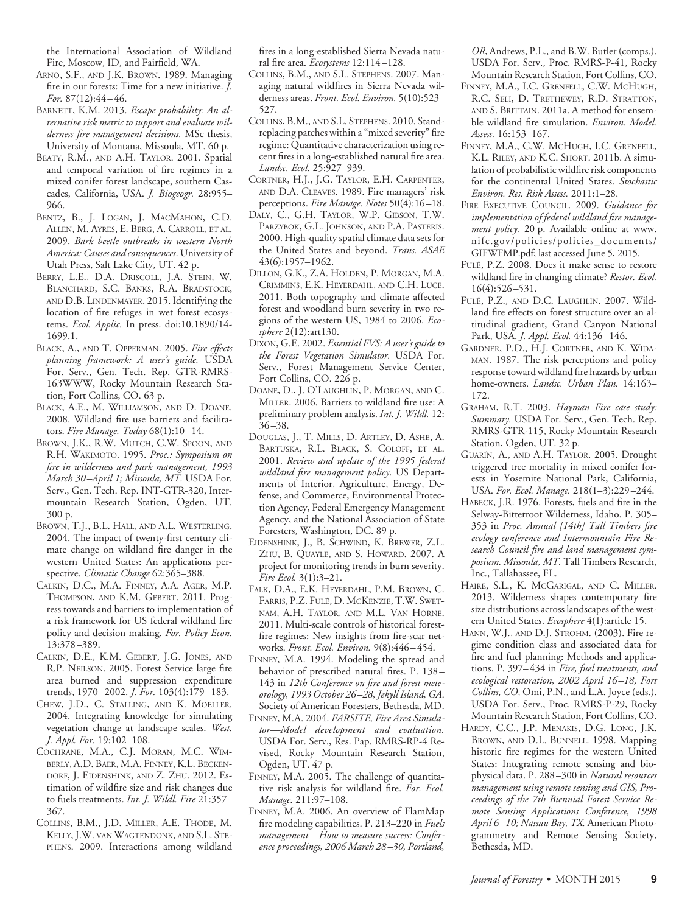the International Association of Wildland Fire, Moscow, ID, and Fairfield, WA.

- ARNO, S.F., AND J.K. BROWN. 1989. Managing fire in our forests: Time for a new initiative. *J. For.* 87(12):44 – 46.
- BARNETT, K.M. 2013. *Escape probability: An alternative risk metric to support and evaluate wilderness fire management decisions.* MSc thesis, University of Montana, Missoula, MT. 60 p.
- BEATY, R.M., AND A.H. TAYLOR. 2001. Spatial and temporal variation of fire regimes in a mixed conifer forest landscape, southern Cascades, California, USA. *J. Biogeogr.* 28:955– 966.
- BENTZ, B., J. LOGAN, J. MACMAHON, C.D. ALLEN, M. AYRES, E. BERG, A. CARROLL, ET AL. 2009. *Bark beetle outbreaks in western North America: Causes and consequences*. University of Utah Press, Salt Lake City, UT. 42 p.
- BERRY, L.E., D.A. DRISCOLL, J.A. STEIN, W. BLANCHARD, S.C. BANKS, R.A. BRADSTOCK, AND D.B. LINDENMAYER. 2015. Identifying the location of fire refuges in wet forest ecosystems. *Ecol. Applic.* In press. doi:10.1890/14- 1699.1.
- BLACK, A., AND T. OPPERMAN. 2005. *Fire effects planning framework: A user's guide.* USDA For. Serv., Gen. Tech. Rep. GTR-RMRS-163WWW, Rocky Mountain Research Station, Fort Collins, CO. 63 p.
- BLACK, A.E., M. WILLIAMSON, AND D. DOANE. 2008. Wildland fire use barriers and facilitators. *Fire Manage. Today* 68(1):10 –14.
- BROWN, J.K., R.W. MUTCH, C.W. SPOON, AND R.H. WAKIMOTO. 1995. *Proc.: Symposium on fire in wilderness and park management, 1993 March 30 –April 1; Missoula, MT.* USDA For. Serv., Gen. Tech. Rep. INT-GTR-320, Intermountain Research Station, Ogden, UT. 300 p.
- BROWN, T.J., B.L. HALL, AND A.L. WESTERLING. 2004. The impact of twenty-first century climate change on wildland fire danger in the western United States: An applications perspective. *Climatic Change* 62:365–388.
- CALKIN, D.C., M.A. FINNEY, A.A. AGER, M.P. THOMPSON, AND K.M. GEBERT. 2011. Progress towards and barriers to implementation of a risk framework for US federal wildland fire policy and decision making. *For. Policy Econ.* 13:378 –389.
- CALKIN, D.E., K.M. GEBERT, J.G. JONES, AND R.P. NEILSON. 2005. Forest Service large fire area burned and suppression expenditure trends, 1970 –2002. *J. For.* 103(4):179 –183.
- CHEW, J.D., C. STALLING, AND K. MOELLER. 2004. Integrating knowledge for simulating vegetation change at landscape scales. *West. J. Appl. For.* 19:102–108.
- COCHRANE, M.A., C.J. MORAN, M.C. WIM-BERLY, A.D. BAER, M.A. FINNEY, K.L. BECKEN-DORF, J. EIDENSHINK, AND Z. ZHU. 2012. Estimation of wildfire size and risk changes due to fuels treatments. *Int. J. Wildl. Fire* 21:357– 367.
- COLLINS, B.M., J.D. MILLER, A.E. THODE, M. KELLY, J.W. VAN WAGTENDONK, AND S.L. STE-PHENS. 2009. Interactions among wildland

fires in a long-established Sierra Nevada natural fire area. *Ecosystems* 12:114 –128.

- COLLINS, B.M., AND S.L. STEPHENS. 2007. Managing natural wildfires in Sierra Nevada wilderness areas. *Front. Ecol. Environ.* 5(10):523– 527.
- COLLINS, B.M., AND S.L. STEPHENS. 2010. Standreplacing patches within a "mixed severity" fire regime: Quantitative characterization using recent fires in a long-established natural fire area. *Landsc. Ecol.* 25:927–939.
- CORTNER, H.J., J.G. TAYLOR, E.H. CARPENTER, AND D.A. CLEAVES. 1989. Fire managers' risk perceptions. *Fire Manage. Notes* 50(4):16 –18.
- DALY, C., G.H. TAYLOR, W.P. GIBSON, T.W. PARZYBOK, G.L. JOHNSON, AND P.A. PASTERIS. 2000. High-quality spatial climate data sets for the United States and beyond. *Trans. ASAE* 43(6):1957–1962.
- DILLON, G.K., Z.A. HOLDEN, P. MORGAN, M.A. CRIMMINS, E.K. HEYERDAHL, AND C.H. LUCE. 2011. Both topography and climate affected forest and woodland burn severity in two regions of the western US, 1984 to 2006. *Ecosphere* 2(12):art130.
- DIXON, G.E. 2002. *Essential FVS: A user's guide to the Forest Vegetation Simulator.* USDA For. Serv., Forest Management Service Center, Fort Collins, CO. 226 p.
- DOANE, D., J. O'LAUGHLIN, P. MORGAN, AND C. MILLER. 2006. Barriers to wildland fire use: A preliminary problem analysis. *Int. J. Wildl.* 12: 36 –38.
- DOUGLAS, J., T. MILLS, D. ARTLEY, D. ASHE, A. BARTUSKA, R.L. BLACK, S. COLOFF, ET AL. 2001. *Review and update of the 1995 federal wildland fire management policy*. US Departments of Interior, Agriculture, Energy, Defense, and Commerce, Environmental Protection Agency, Federal Emergency Management Agency, and the National Association of State Foresters, Washington, DC. 89 p.
- EIDENSHINK, J., B. SCHWIND, K. BREWER, Z.L. ZHU, B. QUAYLE, AND S. HOWARD. 2007. A project for monitoring trends in burn severity. *Fire Ecol.* 3(1):3–21.
- FALK, D.A., E.K. HEYERDAHL, P.M. BROWN, C. FARRIS, P.Z. FULÉ, D. MCKENZIE, T.W. SWET-NAM, A.H. TAYLOR, AND M.L. VAN HORNE. 2011. Multi-scale controls of historical forestfire regimes: New insights from fire-scar networks. *Front. Ecol. Environ.* 9(8):446 – 454.
- FINNEY, M.A. 1994. Modeling the spread and behavior of prescribed natural fires. P. 138 – 143 in *12th Conference on fire and forest meteorology, 1993 October 26 –28, Jekyll Island, GA*. Society of American Foresters, Bethesda, MD.
- FINNEY, M.A. 2004. *FARSITE, Fire Area Simulator—Model development and evaluation.* USDA For. Serv., Res. Pap. RMRS-RP-4 Revised, Rocky Mountain Research Station, Ogden, UT. 47 p.
- FINNEY, M.A. 2005. The challenge of quantitative risk analysis for wildland fire. *For. Ecol. Manage.* 211:97–108.
- FINNEY, M.A. 2006. An overview of FlamMap fire modeling capabilities. P. 213–220 in *Fuels management—How to measure success: Conference proceedings, 2006 March 28 –30, Portland,*

*OR*, Andrews, P.L., and B.W. Butler (comps.). USDA For. Serv., Proc. RMRS-P-41, Rocky Mountain Research Station, Fort Collins, CO.

- FINNEY, M.A., I.C. GRENFELL, C.W. MCHUGH, R.C. SELI, D. TRETHEWEY, R.D. STRATTON, AND S. BRITTAIN. 2011a. A method for ensemble wildland fire simulation. *Environ. Model. Assess.* 16:153–167.
- FINNEY, M.A., C.W. MCHUGH, I.C. GRENFELL, K.L. RILEY, AND K.C. SHORT. 2011b. A simulation of probabilistic wildfire risk components for the continental United States. *Stochastic Environ. Res. Risk Assess.* 2011:1–28.
- FIRE EXECUTIVE COUNCIL. 2009. *Guidance for implementation of federal wildland fire management policy.* 20 p. Available online at [www.](http://www.nifc.gov/policies/policies_documents/GIFWFMP.pdf) [nifc.gov/policies/policies\\_documents/](http://www.nifc.gov/policies/policies_documents/GIFWFMP.pdf) [GIFWFMP.pdf;](http://www.nifc.gov/policies/policies_documents/GIFWFMP.pdf) last accessed June 5, 2015.
- FULÉ, P.Z. 2008. Does it make sense to restore wildland fire in changing climate? *Restor. Ecol.* 16(4):526 –531.
- FULÉ, P.Z., AND D.C. LAUGHLIN. 2007. Wildland fire effects on forest structure over an altitudinal gradient, Grand Canyon National Park, USA. *J. Appl. Ecol.* 44:136 –146.
- GARDNER, P.D., H.J. CORTNER, AND K. WIDA-MAN. 1987. The risk perceptions and policy response toward wildland fire hazards by urban home-owners. *Landsc. Urban Plan.* 14:163– 172.
- GRAHAM, R.T. 2003. *Hayman Fire case study: Summary.* USDA For. Serv., Gen. Tech. Rep. RMRS-GTR-115, Rocky Mountain Research Station, Ogden, UT. 32 p.
- GUARÍN, A., AND A.H. TAYLOR. 2005. Drought triggered tree mortality in mixed conifer forests in Yosemite National Park, California, USA. *For. Ecol. Manage.* 218(1–3):229 –244.
- HABECK, J.R. 1976. Forests, fuels and fire in the Selway-Bitterroot Wilderness, Idaho. P. 305– 353 in *Proc. Annual [14th] Tall Timbers fire ecology conference and Intermountain Fire Research Council fire and land management symposium. Missoula, MT.* Tall Timbers Research, Inc., Tallahassee, FL.
- HAIRE, S.L., K. MCGARIGAL, AND C. MILLER. 2013. Wilderness shapes contemporary fire size distributions across landscapes of the western United States. *Ecosphere* 4(1):article 15.
- HANN, W.J., AND D.J. STROHM. (2003). Fire regime condition class and associated data for fire and fuel planning: Methods and applications. P. 397– 434 in *Fire, fuel treatments, and ecological restoration, 2002 April 16 –18, Fort Collins, CO*, Omi, P.N., and L.A. Joyce (eds.). USDA For. Serv., Proc. RMRS-P-29, Rocky Mountain Research Station, Fort Collins, CO.
- HARDY, C.C., J.P. MENAKIS, D.G. LONG, J.K. BROWN, AND D.L. BUNNELL. 1998. Mapping historic fire regimes for the western United States: Integrating remote sensing and biophysical data. P. 288 –300 in *Natural resources management using remote sensing and GIS, Proceedings of the 7th Biennial Forest Service Remote Sensing Applications Conference, 1998 April 6 –10; Nassau Bay, TX.* American Photogrammetry and Remote Sensing Society, Bethesda, MD.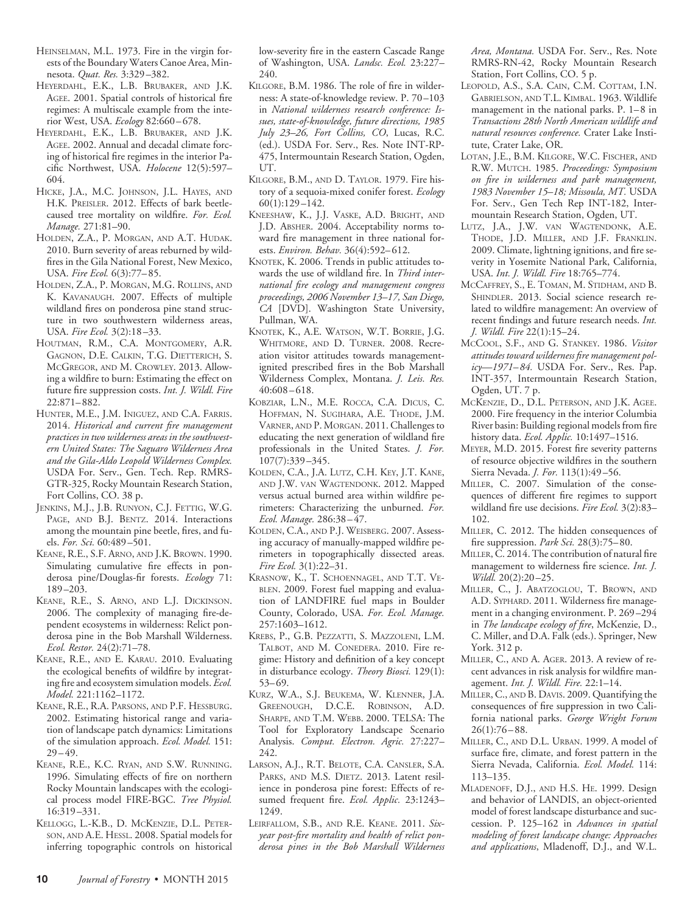- HEINSELMAN, M.L. 1973. Fire in the virgin forests of the Boundary Waters Canoe Area, Minnesota. *Quat. Res.* 3:329 –382.
- HEYERDAHL, E.K., L.B. BRUBAKER, AND J.K. AGEE. 2001. Spatial controls of historical fire regimes: A multiscale example from the interior West, USA. *Ecology* 82:660 – 678.
- HEYERDAHL, E.K., L.B. BRUBAKER, AND J.K. AGEE. 2002. Annual and decadal climate forcing of historical fire regimes in the interior Pacific Northwest, USA. *Holocene* 12(5):597– 604.
- HICKE, J.A., M.C. JOHNSON, J.L. HAYES, AND H.K. PREISLER. 2012. Effects of bark beetlecaused tree mortality on wildfire. *For. Ecol. Manage.* 271:81–90.
- HOLDEN, Z.A., P. MORGAN, AND A.T. HUDAK. 2010. Burn severity of areas reburned by wildfires in the Gila National Forest, New Mexico, USA. *Fire Ecol.* 6(3):77– 85.
- HOLDEN, Z.A., P. MORGAN, M.G. ROLLINS, AND K. KAVANAUGH. 2007. Effects of multiple wildland fires on ponderosa pine stand structure in two southwestern wilderness areas, USA. *Fire Ecol.* 3(2):18 –33.
- HOUTMAN, R.M., C.A. MONTGOMERY, A.R. GAGNON, D.E. CALKIN, T.G. DIETTERICH, S. MCGREGOR, AND M. CROWLEY. 2013. Allowing a wildfire to burn: Estimating the effect on future fire suppression costs. *Int. J. Wildl. Fire* 22:871– 882.
- HUNTER, M.E., J.M. INIGUEZ, AND C.A. FARRIS. 2014. *Historical and current fire management practices in two wilderness areas in the southwestern United States: The Saguaro Wilderness Area and the Gila-Aldo Leopold Wilderness Complex.* USDA For. Serv., Gen. Tech. Rep. RMRS-GTR-325, Rocky Mountain Research Station, Fort Collins, CO. 38 p.
- JENKINS, M.J., J.B. RUNYON, C.J. FETTIG, W.G. PAGE, AND B.J. BENTZ. 2014. Interactions among the mountain pine beetle, fires, and fuels. *For. Sci.* 60:489 –501.
- KEANE, R.E., S.F. ARNO, AND J.K. BROWN. 1990. Simulating cumulative fire effects in ponderosa pine/Douglas-fir forests. *Ecology* 71: 189 –203.
- KEANE, R.E., S. ARNO, AND L.J. DICKINSON. 2006. The complexity of managing fire-dependent ecosystems in wilderness: Relict ponderosa pine in the Bob Marshall Wilderness. *Ecol. Restor.* 24(2):71–78.
- KEANE, R.E., AND E. KARAU. 2010. Evaluating the ecological benefits of wildfire by integrating fire and ecosystem simulation models. *Ecol. Model.* 221:1162–1172.
- KEANE, R.E., R.A. PARSONS, AND P.F. HESSBURG. 2002. Estimating historical range and variation of landscape patch dynamics: Limitations of the simulation approach. *Ecol. Model.* 151:  $29 - 49.$
- KEANE, R.E., K.C. RYAN, AND S.W. RUNNING. 1996. Simulating effects of fire on northern Rocky Mountain landscapes with the ecological process model FIRE-BGC. *Tree Physiol.* 16:319 –331.
- KELLOGG, L.-K.B., D. MCKENZIE, D.L. PETER-SON, AND A.E. HESSL. 2008. Spatial models for inferring topographic controls on historical

low-severity fire in the eastern Cascade Range of Washington, USA. *Landsc. Ecol.* 23:227– 240.

- KILGORE, B.M. 1986. The role of fire in wilderness: A state-of-knowledge review. P. 70 –103 in *National wilderness research conference: Issues, state-of-knowledge, future directions, 1985 July 23–26, Fort Collins, CO*, Lucas, R.C. (ed.). USDA For. Serv., Res. Note INT-RP-475, Intermountain Research Station, Ogden, UT.
- KILGORE, B.M., AND D. TAYLOR. 1979. Fire history of a sequoia-mixed conifer forest. *Ecology* 60(1):129 –142.
- KNEESHAW, K., J.J. VASKE, A.D. BRIGHT, AND J.D. ABSHER. 2004. Acceptability norms toward fire management in three national forests. *Environ. Behav.* 36(4):592– 612.
- KNOTEK, K. 2006. Trends in public attitudes towards the use of wildland fire. In *Third international fire ecology and management congress proceedings, 2006 November 13–17, San Diego, CA* [DVD]. Washington State University, Pullman, WA.
- KNOTEK, K., A.E. WATSON, W.T. BORRIE, J.G. WHITMORE, AND D. TURNER. 2008. Recreation visitor attitudes towards managementignited prescribed fires in the Bob Marshall Wilderness Complex, Montana. *J. Leis. Res.* 40:608 – 618.
- KOBZIAR, L.N., M.E. ROCCA, C.A. DICUS, C. HOFFMAN, N. SUGIHARA, A.E. THODE, J.M. VARNER, AND P. MORGAN. 2011. Challenges to educating the next generation of wildland fire professionals in the United States. *J. For.* 107(7):339 –345.
- KOLDEN, C.A., J.A. LUTZ, C.H. KEY, J.T. KANE, AND J.W. VAN WAGTENDONK. 2012. Mapped versus actual burned area within wildfire perimeters: Characterizing the unburned. *For. Ecol. Manage.* 286:38 – 47.
- KOLDEN, C.A., AND P.J. WEISBERG. 2007. Assessing accuracy of manually-mapped wildfire perimeters in topographically dissected areas. *Fire Ecol.* 3(1):22–31.
- KRASNOW, K., T. SCHOENNAGEL, AND T.T. VE-BLEN. 2009. Forest fuel mapping and evaluation of LANDFIRE fuel maps in Boulder County, Colorado, USA. *For. Ecol. Manage.* 257:1603–1612.
- KREBS, P., G.B. PEZZATTI, S. MAZZOLENI, L.M. TALBOT, AND M. CONEDERA. 2010. Fire regime: History and definition of a key concept in disturbance ecology. *Theory Biosci.* 129(1): 53– 69.
- KURZ, W.A., S.J. BEUKEMA, W. KLENNER, J.A. GREENOUGH, D.C.E. ROBINSON, A.D. SHARPE, AND T.M. WEBB. 2000. TELSA: The Tool for Exploratory Landscape Scenario Analysis. *Comput. Electron. Agric.* 27:227– 242.
- LARSON, A.J., R.T. BELOTE, C.A. CANSLER, S.A. PARKS, AND M.S. DIETZ. 2013. Latent resilience in ponderosa pine forest: Effects of resumed frequent fire. *Ecol. Applic.* 23:1243– 1249.
- LEIRFALLOM, S.B., AND R.E. KEANE. 2011. *Sixyear post-fire mortality and health of relict ponderosa pines in the Bob Marshall Wilderness*

*Area, Montana.* USDA For. Serv., Res. Note RMRS-RN-42, Rocky Mountain Research Station, Fort Collins, CO. 5 p.

- LEOPOLD, A.S., S.A. CAIN, C.M. COTTAM, I.N. GABRIELSON, AND T.L. KIMBAL. 1963. Wildlife management in the national parks. P. 1–8 in *Transactions 28th North American wildlife and natural resources conference.* Crater Lake Institute, Crater Lake, OR.
- LOTAN, J.E., B.M. KILGORE, W.C. FISCHER, AND R.W. MUTCH. 1985. *Proceedings: Symposium on fire in wilderness and park management, 1983 November 15–18; Missoula, MT.* USDA For. Serv., Gen Tech Rep INT-182, Intermountain Research Station, Ogden, UT.
- LUTZ, J.A., J.W. VAN WAGTENDONK, A.E. THODE, J.D. MILLER, AND J.F. FRANKLIN. 2009. Climate, lightning ignitions, and fire severity in Yosemite National Park, California, USA. *Int. J. Wildl. Fire* 18:765–774.
- MCCAFFREY, S., E. TOMAN, M. STIDHAM, AND B. SHINDLER. 2013. Social science research related to wildfire management: An overview of recent findings and future research needs. *Int. J. Wildl. Fire* 22(1):15–24.
- MCCOOL, S.F., AND G. STANKEY. 1986. *Visitor attitudes toward wilderness fire management policy—1971– 84.* USDA For. Serv., Res. Pap. INT-357, Intermountain Research Station, Ogden, UT. 7 p.
- MCKENZIE, D., D.L. PETERSON, AND J.K. AGEE. 2000. Fire frequency in the interior Columbia River basin: Building regional models from fire history data. *Ecol. Applic.* 10:1497–1516.
- MEYER, M.D. 2015. Forest fire severity patterns of resource objective wildfires in the southern Sierra Nevada. *J. For.* 113(1):49 –56.
- MILLER, C. 2007. Simulation of the consequences of different fire regimes to support wildland fire use decisions. *Fire Ecol.* 3(2):83– 102.
- MILLER, C. 2012. The hidden consequences of fire suppression. *Park Sci.* 28(3):75– 80.
- MILLER, C. 2014. The contribution of natural fire management to wilderness fire science. *Int. J. Wildl.* 20(2):20 –25.
- MILLER, C., J. ABATZOGLOU, T. BROWN, AND A.D. SYPHARD. 2011. Wilderness fire management in a changing environment. P. 269 –294 in *The landscape ecology of fire*, McKenzie, D., C. Miller, and D.A. Falk (eds.). Springer, New York. 312 p.
- MILLER, C., AND A. AGER. 2013. A review of recent advances in risk analysis for wildfire management. *Int. J. Wildl. Fire.* 22:1–14.
- MILLER, C., AND B. DAVIS. 2009. Quantifying the consequences of fire suppression in two California national parks. *George Wright Forum*  $26(1):76 - 88.$
- MILLER, C., AND D.L. URBAN. 1999. A model of surface fire, climate, and forest pattern in the Sierra Nevada, California. *Ecol. Model.* 114: 113–135.
- MLADENOFF, D.J., AND H.S. HE. 1999. Design and behavior of LANDIS, an object-oriented model of forest landscape disturbance and succession. P. 125–162 in *Advances in spatial modeling of forest landscape change: Approaches and applications*, Mladenoff, D.J., and W.L.